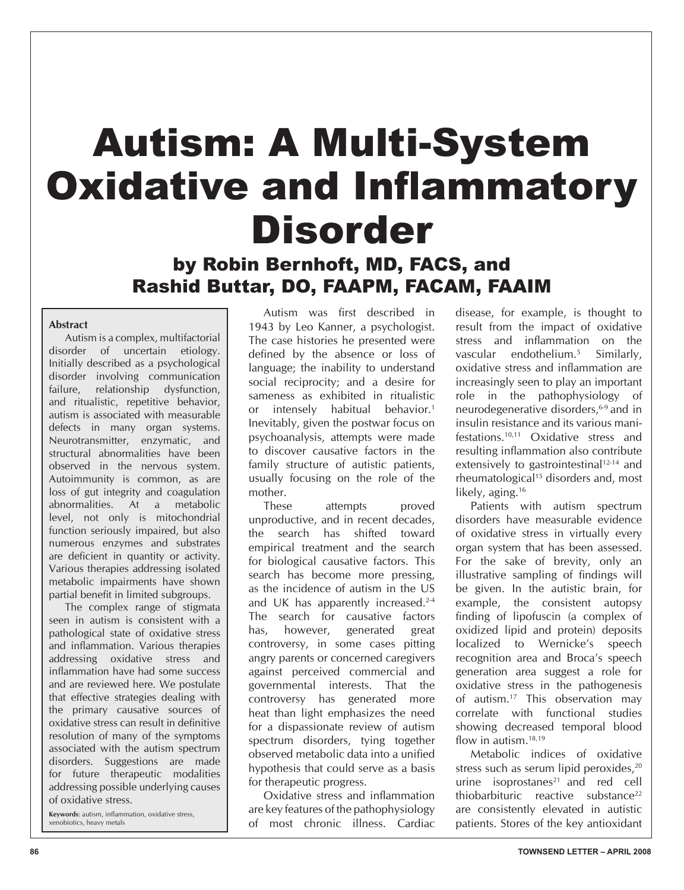# Autism: A Multi-System Oxidative and Inflammatory Disorder

by Robin Bernhoft, MD, FACS, and Rashid Buttar, DO, FAAPM, FACAM, FAAIM

#### **Abstract**

 Autism is a complex, multifactorial disorder of uncertain etiology. Initially described as a psychological disorder involving communication failure, relationship dysfunction, and ritualistic, repetitive behavior, autism is associated with measurable defects in many organ systems. Neurotransmitter, enzymatic, and structural abnormalities have been observed in the nervous system. Autoimmunity is common, as are loss of gut integrity and coagulation abnormalities. At a metabolic level, not only is mitochondrial function seriously impaired, but also numerous enzymes and substrates are deficient in quantity or activity. Various therapies addressing isolated metabolic impairments have shown partial benefit in limited subgroups.

 The complex range of stigmata seen in autism is consistent with a pathological state of oxidative stress and inflammation. Various therapies addressing oxidative stress and inflammation have had some success and are reviewed here. We postulate that effective strategies dealing with the primary causative sources of oxidative stress can result in definitive resolution of many of the symptoms associated with the autism spectrum disorders. Suggestions are made for future therapeutic modalities addressing possible underlying causes of oxidative stress.

**Keywords**: autism, inflammation, oxidative stress, xenobiotics, heavy metals

Autism was first described in 1943 by Leo Kanner, a psychologist. The case histories he presented were defined by the absence or loss of language; the inability to understand social reciprocity; and a desire for sameness as exhibited in ritualistic or intensely habitual behavior.<sup>1</sup> Inevitably, given the postwar focus on psychoanalysis, attempts were made to discover causative factors in the family structure of autistic patients, usually focusing on the role of the mother.

These attempts proved unproductive, and in recent decades, the search has shifted toward empirical treatment and the search for biological causative factors. This search has become more pressing, as the incidence of autism in the US and UK has apparently increased.<sup>2-4</sup> The search for causative factors has, however, generated great controversy, in some cases pitting angry parents or concerned caregivers against perceived commercial and governmental interests. That the controversy has generated more heat than light emphasizes the need for a dispassionate review of autism spectrum disorders, tying together observed metabolic data into a unified hypothesis that could serve as a basis for therapeutic progress.

Oxidative stress and inflammation are key features of the pathophysiology of most chronic illness. Cardiac disease, for example, is thought to result from the impact of oxidative stress and inflammation on the vascular endothelium.5 Similarly, oxidative stress and inflammation are increasingly seen to play an important role in the pathophysiology of neurodegenerative disorders,<sup>6-9</sup> and in insulin resistance and its various manifestations.10,11 Oxidative stress and resulting inflammation also contribute extensively to gastrointestinal<sup>12-14</sup> and rheumatological<sup>15</sup> disorders and, most likely, aging.<sup>16</sup>

Patients with autism spectrum disorders have measurable evidence of oxidative stress in virtually every organ system that has been assessed. For the sake of brevity, only an illustrative sampling of findings will be given. In the autistic brain, for example, the consistent autopsy finding of lipofuscin (a complex of oxidized lipid and protein) deposits localized to Wernicke's speech recognition area and Broca's speech generation area suggest a role for oxidative stress in the pathogenesis of autism.17 This observation may correlate with functional studies showing decreased temporal blood flow in autism.<sup>18,19</sup>

Metabolic indices of oxidative stress such as serum lipid peroxides,<sup>20</sup> urine isoprostanes $21$  and red cell thiobarbituric reactive substance<sup>22</sup> are consistently elevated in autistic patients. Stores of the key antioxidant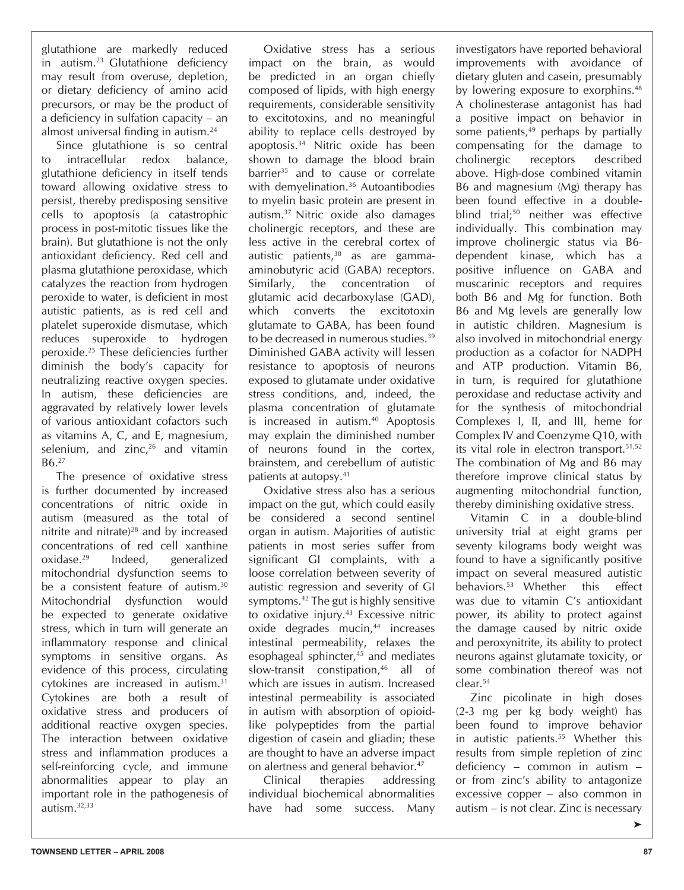glutathione are markedly reduced in autism.23 Glutathione deficiency may result from overuse, depletion, or dietary deficiency of amino acid precursors, or may be the product of a deficiency in sulfation capacity – an almost universal finding in autism.<sup>24</sup>

Since glutathione is so central to intracellular redox balance, glutathione deficiency in itself tends toward allowing oxidative stress to persist, thereby predisposing sensitive cells to apoptosis (a catastrophic process in post-mitotic tissues like the brain). But glutathione is not the only antioxidant deficiency. Red cell and plasma glutathione peroxidase, which catalyzes the reaction from hydrogen peroxide to water, is deficient in most autistic patients, as is red cell and platelet superoxide dismutase, which reduces superoxide to hydrogen peroxide.25 These deficiencies further diminish the body's capacity for neutralizing reactive oxygen species. In autism, these deficiencies are aggravated by relatively lower levels of various antioxidant cofactors such as vitamins A, C, and E, magnesium, selenium, and  $zinc<sub>1</sub><sup>26</sup>$  and vitamin B6.27

The presence of oxidative stress is further documented by increased concentrations of nitric oxide in autism (measured as the total of nitrite and nitrate)<sup>28</sup> and by increased concentrations of red cell xanthine oxidase.29 Indeed, generalized mitochondrial dysfunction seems to be a consistent feature of autism.<sup>30</sup> Mitochondrial dysfunction would be expected to generate oxidative stress, which in turn will generate an inflammatory response and clinical symptoms in sensitive organs. As evidence of this process, circulating cytokines are increased in autism.31 Cytokines are both a result of oxidative stress and producers of additional reactive oxygen species. The interaction between oxidative stress and inflammation produces a self-reinforcing cycle, and immune abnormalities appear to play an important role in the pathogenesis of autism.32,33

Oxidative stress has a serious impact on the brain, as would be predicted in an organ chiefly composed of lipids, with high energy requirements, considerable sensitivity to excitotoxins, and no meaningful ability to replace cells destroyed by apoptosis.34 Nitric oxide has been shown to damage the blood brain barrier<sup>35</sup> and to cause or correlate with demvelination.<sup>36</sup> Autoantibodies to myelin basic protein are present in autism.37 Nitric oxide also damages cholinergic receptors, and these are less active in the cerebral cortex of autistic patients,<sup>38</sup> as are gammaaminobutyric acid (GABA) receptors. Similarly, the concentration of glutamic acid decarboxylase (GAD), which converts the excitotoxin glutamate to GABA, has been found to be decreased in numerous studies.<sup>39</sup> Diminished GABA activity will lessen resistance to apoptosis of neurons exposed to glutamate under oxidative stress conditions, and, indeed, the plasma concentration of glutamate is increased in autism.40 Apoptosis may explain the diminished number of neurons found in the cortex, brainstem, and cerebellum of autistic patients at autopsy.41

Oxidative stress also has a serious impact on the gut, which could easily be considered a second sentinel organ in autism. Majorities of autistic patients in most series suffer from significant GI complaints, with a loose correlation between severity of autistic regression and severity of GI symptoms.<sup>42</sup> The gut is highly sensitive to oxidative injury.<sup>43</sup> Excessive nitric oxide degrades mucin,<sup>44</sup> increases intestinal permeability, relaxes the esophageal sphincter,<sup>45</sup> and mediates slow-transit constipation,<sup>46</sup> all of which are issues in autism. Increased intestinal permeability is associated in autism with absorption of opioidlike polypeptides from the partial digestion of casein and gliadin; these are thought to have an adverse impact on alertness and general behavior.47

Clinical therapies addressing individual biochemical abnormalities have had some success. Many investigators have reported behavioral improvements with avoidance of dietary gluten and casein, presumably by lowering exposure to exorphins.<sup>48</sup> A cholinesterase antagonist has had a positive impact on behavior in some patients, $49$  perhaps by partially compensating for the damage to cholinergic receptors described above. High-dose combined vitamin B6 and magnesium (Mg) therapy has been found effective in a doubleblind trial;<sup>50</sup> neither was effective individually. This combination may improve cholinergic status via B6 dependent kinase, which has a positive influence on GABA and muscarinic receptors and requires both B6 and Mg for function. Both B6 and Mg levels are generally low in autistic children. Magnesium is also involved in mitochondrial energy production as a cofactor for NADPH and ATP production. Vitamin B6, in turn, is required for glutathione peroxidase and reductase activity and for the synthesis of mitochondrial Complexes I, II, and III, heme for Complex IV and Coenzyme Q10, with its vital role in electron transport.51,52 The combination of Mg and B6 may therefore improve clinical status by augmenting mitochondrial function, thereby diminishing oxidative stress.

Vitamin C in a double-blind university trial at eight grams per seventy kilograms body weight was found to have a significantly positive impact on several measured autistic behaviors.53 Whether this effect was due to vitamin C's antioxidant power, its ability to protect against the damage caused by nitric oxide and peroxynitrite, its ability to protect neurons against glutamate toxicity, or some combination thereof was not clear.54

Zinc picolinate in high doses (2-3 mg per kg body weight) has been found to improve behavior in autistic patients.55 Whether this results from simple repletion of zinc deficiency – common in autism – or from zinc's ability to antagonize excessive copper – also common in autism – is not clear. Zinc is necessary

➤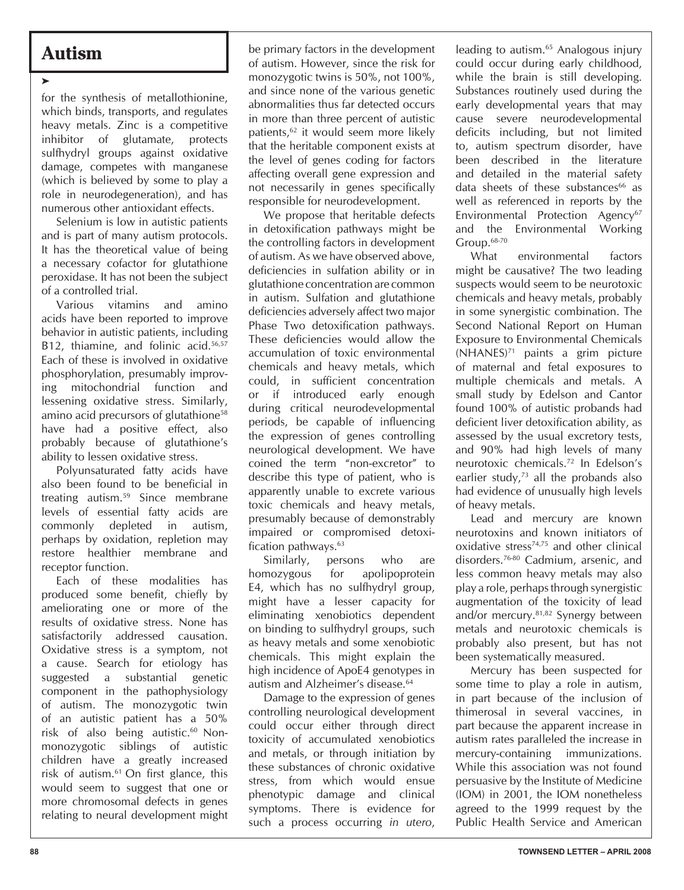## **Autism**

➤

for the synthesis of metallothionine, which binds, transports, and regulates heavy metals. Zinc is a competitive inhibitor of glutamate, protects sulfhydryl groups against oxidative damage, competes with manganese (which is believed by some to play a role in neurodegeneration), and has numerous other antioxidant effects.

Selenium is low in autistic patients and is part of many autism protocols. It has the theoretical value of being a necessary cofactor for glutathione peroxidase. It has not been the subject of a controlled trial.

Various vitamins and amino acids have been reported to improve behavior in autistic patients, including B12, thiamine, and folinic acid.<sup>56,57</sup> Each of these is involved in oxidative phosphorylation, presumably improving mitochondrial function and lessening oxidative stress. Similarly, amino acid precursors of glutathione58 have had a positive effect, also probably because of glutathione's ability to lessen oxidative stress.

Polyunsaturated fatty acids have also been found to be beneficial in treating autism.59 Since membrane levels of essential fatty acids are commonly depleted in autism, perhaps by oxidation, repletion may restore healthier membrane and receptor function.

Each of these modalities has produced some benefit, chiefly by ameliorating one or more of the results of oxidative stress. None has satisfactorily addressed causation. Oxidative stress is a symptom, not a cause. Search for etiology has suggested a substantial genetic component in the pathophysiology of autism. The monozygotic twin of an autistic patient has a 50% risk of also being autistic.<sup>60</sup> Nonmonozygotic siblings of autistic children have a greatly increased risk of autism.61 On first glance, this would seem to suggest that one or more chromosomal defects in genes relating to neural development might be primary factors in the development of autism. However, since the risk for monozygotic twins is 50%, not 100%, and since none of the various genetic abnormalities thus far detected occurs in more than three percent of autistic patients,<sup>62</sup> it would seem more likely that the heritable component exists at the level of genes coding for factors affecting overall gene expression and not necessarily in genes specifically responsible for neurodevelopment.

We propose that heritable defects in detoxification pathways might be the controlling factors in development of autism. As we have observed above, deficiencies in sulfation ability or in glutathione concentration are common in autism. Sulfation and glutathione deficiencies adversely affect two major Phase Two detoxification pathways. These deficiencies would allow the accumulation of toxic environmental chemicals and heavy metals, which could, in sufficient concentration or if introduced early enough during critical neurodevelopmental periods, be capable of influencing the expression of genes controlling neurological development. We have coined the term "non-excretor" to describe this type of patient, who is apparently unable to excrete various toxic chemicals and heavy metals, presumably because of demonstrably impaired or compromised detoxification pathways.<sup>63</sup>

Similarly, persons who are homozygous for apolipoprotein E4, which has no sulfhydryl group, might have a lesser capacity for eliminating xenobiotics dependent on binding to sulfhydryl groups, such as heavy metals and some xenobiotic chemicals. This might explain the high incidence of ApoE4 genotypes in autism and Alzheimer's disease.<sup>64</sup>

Damage to the expression of genes controlling neurological development could occur either through direct toxicity of accumulated xenobiotics and metals, or through initiation by these substances of chronic oxidative stress, from which would ensue phenotypic damage and clinical symptoms. There is evidence for such a process occurring *in utero*,

leading to autism.<sup>65</sup> Analogous injury could occur during early childhood, while the brain is still developing. Substances routinely used during the early developmental years that may cause severe neurodevelopmental deficits including, but not limited to, autism spectrum disorder, have been described in the literature and detailed in the material safety data sheets of these substances<sup>66</sup> as well as referenced in reports by the Environmental Protection Agency<sup>67</sup> and the Environmental Working Group.68-70

What environmental factors might be causative? The two leading suspects would seem to be neurotoxic chemicals and heavy metals, probably in some synergistic combination. The Second National Report on Human Exposure to Environmental Chemicals  $(NHANES)<sup>71</sup>$  paints a grim picture of maternal and fetal exposures to multiple chemicals and metals. A small study by Edelson and Cantor found 100% of autistic probands had deficient liver detoxification ability, as assessed by the usual excretory tests, and 90% had high levels of many neurotoxic chemicals.72 In Edelson's earlier study, $73$  all the probands also had evidence of unusually high levels of heavy metals.

Lead and mercury are known neurotoxins and known initiators of oxidative stress<sup>74,75</sup> and other clinical disorders.76-80 Cadmium, arsenic, and less common heavy metals may also play a role, perhaps through synergistic augmentation of the toxicity of lead and/or mercury.81,82 Synergy between metals and neurotoxic chemicals is probably also present, but has not been systematically measured.

Mercury has been suspected for some time to play a role in autism, in part because of the inclusion of thimerosal in several vaccines, in part because the apparent increase in autism rates paralleled the increase in mercury-containing immunizations. While this association was not found persuasive by the Institute of Medicine (IOM) in 2001, the IOM nonetheless agreed to the 1999 request by the Public Health Service and American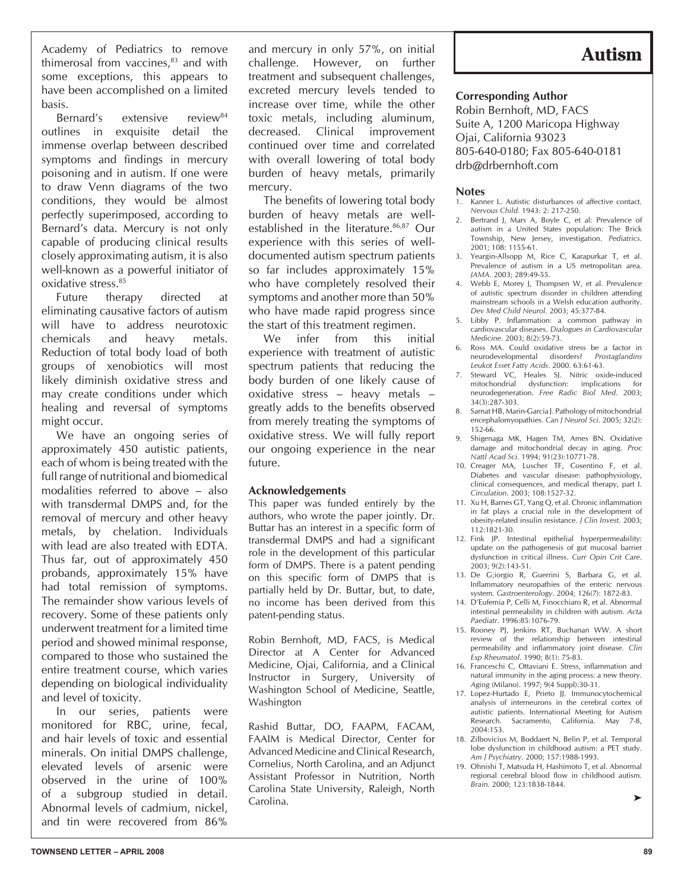Academy of Pediatrics to remove thimerosal from vaccines, $83$  and with some exceptions, this appears to have been accomplished on a limited basis.

Bernard's extensive review<sup>84</sup> outlines in exquisite detail the immense overlap between described symptoms and findings in mercury poisoning and in autism. If one were to draw Venn diagrams of the two conditions, they would be almost perfectly superimposed, according to Bernard's data. Mercury is not only capable of producing clinical results closely approximating autism, it is also well-known as a powerful initiator of oxidative stress.85

Future therapy directed at eliminating causative factors of autism will have to address neurotoxic chemicals and heavy metals. Reduction of total body load of both groups of xenobiotics will most likely diminish oxidative stress and may create conditions under which healing and reversal of symptoms might occur.

We have an ongoing series of approximately 450 autistic patients, each of whom is being treated with the full range of nutritional and biomedical modalities referred to above – also with transdermal DMPS and, for the removal of mercury and other heavy metals, by chelation. Individuals with lead are also treated with EDTA. Thus far, out of approximately 450 probands, approximately 15% have had total remission of symptoms. The remainder show various levels of recovery. Some of these patients only underwent treatment for a limited time period and showed minimal response, compared to those who sustained the entire treatment course, which varies depending on biological individuality and level of toxicity.

In our series, patients were monitored for RBC, urine, fecal, and hair levels of toxic and essential minerals. On initial DMPS challenge, elevated levels of arsenic were observed in the urine of 100% of a subgroup studied in detail. Abnormal levels of cadmium, nickel, and tin were recovered from 86%

and mercury in only 57%, on initial challenge. However, on further treatment and subsequent challenges, excreted mercury levels tended to increase over time, while the other toxic metals, including aluminum, decreased. Clinical improvement continued over time and correlated with overall lowering of total body burden of heavy metals, primarily mercury.

The benefits of lowering total body burden of heavy metals are wellestablished in the literature.<sup>86,87</sup> Our experience with this series of welldocumented autism spectrum patients so far includes approximately 15% who have completely resolved their symptoms and another more than 50% who have made rapid progress since the start of this treatment regimen.

We infer from this initial experience with treatment of autistic spectrum patients that reducing the body burden of one likely cause of oxidative stress – heavy metals – greatly adds to the benefits observed from merely treating the symptoms of oxidative stress. We will fully report our ongoing experience in the near future.

#### **Acknowledgements**

This paper was funded entirely by the authors, who wrote the paper jointly. Dr. Buttar has an interest in a specific form of transdermal DMPS and had a significant role in the development of this particular form of DMPS. There is a patent pending on this specific form of DMPS that is partially held by Dr. Buttar, but, to date, no income has been derived from this patent-pending status.

Robin Bernhoft, MD, FACS, is Medical Director at A Center for Advanced Medicine, Ojai, California, and a Clinical Instructor in Surgery, University of Washington School of Medicine, Seattle, Washington

Rashid Buttar, DO, FAAPM, FACAM, FAAIM is Medical Director, Center for Advanced Medicine and Clinical Research, Cornelius, North Carolina, and an Adjunct Assistant Professor in Nutrition, North Carolina State University, Raleigh, North Carolina.

## **Autism**

#### **Corresponding Author**

Robin Bernhoft, MD, FACS Suite A, 1200 Maricopa Highway Ojai, California 93023 805-640-0180; Fax 805-640-0181 drb@drbernhoft.com

### **Notes**<br>1. Kann

- Kanner L. Autistic disturbances of affective contact. *Nervous Child*. 1943: 2: 217-250.
- 2. Bertrand J, Mars A, Boyle C, et al: Prevalence of autism in a United States population: The Brick Township, New Jersey, investigation. *Pediatrics.*  $2001 \cdot 108 \cdot 1155 - 61$
- 3. Yeargin-Allsopp M, Rice C, Karapurkar T, et al. Prevalence of autism in a US metropolitan area. *JAMA*. 2003; 289:49-55.
- 4. Webb E, Morey J, Thompsen W, et al. Prevalence of autistic spectrum disorder in children attending mainstream schools in a Welsh education authority. *Dev Med Child Neurol.* 2003; 45:377-84.
- 5. Libby P. Inflammation: a common pathway in cardiovascular diseases. *Dialogues in Cardiovascular Medicine.* 2003; 8(2):59-73.
- 6. Ross MA. Could oxidative stress be a factor in neurodevelopmental disorders? *Prostaglandins Leukot Esset Fatty Acids*. 2000. 63:61-63.
- 7. Steward VC, Heales SJ. Nitric oxide-induced mitochondrial dysfunction: implications for neurodegeneration. *Free Radic Biol Med*. 2003; 34(3):287-303.
- 8. Sarnat HB, Marin-Garcia J. Pathology of mitochondrial encephalomyopathies. *Can J Neurol Sci*. 2005; 32(2): 152-66.
- 9. Shigenaga MK, Hagen TM, Ames BN. Oxidative damage and mitochondrial decay in aging. *Proc Nattl Acad Sci*. 1994; 91(23):10771-78.
- 10. Creager MA, Luscher TF, Cosentino F, et al. Diabetes and vascular disease: pathophysiology, clinical consequences, and medical therapy, part I. *Circulation*. 2003; 108:1527-32.
- 11. Xu H, Barnes GT, Yang Q, et al. Chronic inflammation in fat plays a crucial role in the development of obesity-related insulin resistance. *J Clin Invest*. 2003; 112:1821-30.
- 12. Fink JP. Intestinal epithelial hyperpermeability: update on the pathogenesis of gut mucosal barrier dysfunction in critical illness. *Curr Opin Crit Care*. 2003; 9(2):143-51.
- 13. De G;iorgio R, Guerrini S, Barbara G, et al. Inflammatory neuropathies of the enteric nervous system. *Gastroenterology*. 2004; 126(7): 1872-83.
- 14. D'Eufemia P, Celli M, Finocchiaro R, et al. Abnormal intestinal permeability in children with autism. *Acta Paediatr*. 1996:85:1076-79.
- 15. Rooney PJ, Jenkins RT, Buchanan WW. A short review of the relationship between intestinal permeability and inflammatory joint disease. *Clin Exp Rheumatol*. 1990; 8(1): 75-83.
- 16. Franceschi C, Ottaviani E. Stress, inflammation and natural immunity in the aging process: a new theory. *Aging* (Milano). 1997; 9(4 Suppl):30-31.
- 17. Lopez-Hurtado E, Prieto JJ. Immunocytochemical analysis of interneurons in the cerebral cortex of autistic patients. International Meeting for Autism Research. Sacramento, California. May 7-8, 2004:153.
- 18. Zilbovicius M, Boddaert N, Belin P, et al. Temporal lobe dysfunction in childhood autism: a PET study. *Am J Psychiatry*. 2000; 157:1988-1993.
- 19. Ohnishi T, Matsuda H, Hashimoto T, et al. Abnormal regional cerebral blood flow in childhood autism. *Brain.* 2000; 123:1838-1844.